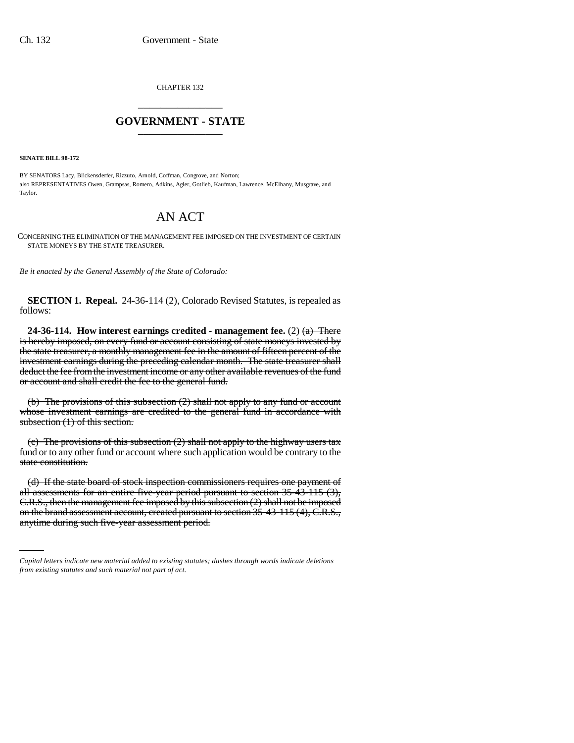CHAPTER 132 \_\_\_\_\_\_\_\_\_\_\_\_\_\_\_

## **GOVERNMENT - STATE** \_\_\_\_\_\_\_\_\_\_\_\_\_\_\_

**SENATE BILL 98-172**

BY SENATORS Lacy, Blickensderfer, Rizzuto, Arnold, Coffman, Congrove, and Norton; also REPRESENTATIVES Owen, Grampsas, Romero, Adkins, Agler, Gotlieb, Kaufman, Lawrence, McElhany, Musgrave, and **Taylor** 

## AN ACT

CONCERNING THE ELIMINATION OF THE MANAGEMENT FEE IMPOSED ON THE INVESTMENT OF CERTAIN STATE MONEYS BY THE STATE TREASURER.

*Be it enacted by the General Assembly of the State of Colorado:*

**SECTION 1. Repeal.** 24-36-114 (2), Colorado Revised Statutes, is repealed as follows:

**24-36-114.** How interest earnings credited - management fee. (2)  $\left(\frac{a}{b}\right)$  There is hereby imposed, on every fund or account consisting of state moneys invested by the state treasurer, a monthly management fee in the amount of fifteen percent of the investment earnings during the preceding calendar month. The state treasurer shall deduct the fee from the investment income or any other available revenues of the fund or account and shall credit the fee to the general fund.

(b) The provisions of this subsection (2) shall not apply to any fund or account whose investment earnings are credited to the general fund in accordance with subsection (1) of this section.

(c) The provisions of this subsection  $(2)$  shall not apply to the highway users tax fund or to any other fund or account where such application would be contrary to the state constitution.

C.R.S., then the management fee imposed by this subsection (2) shall not be imposed (d) If the state board of stock inspection commissioners requires one payment of all assessments for an entire five-year period pursuant to section 35-43-115 (3), on the brand assessment account, created pursuant to section 35-43-115 (4), C.R.S., anytime during such five-year assessment period.

*Capital letters indicate new material added to existing statutes; dashes through words indicate deletions from existing statutes and such material not part of act.*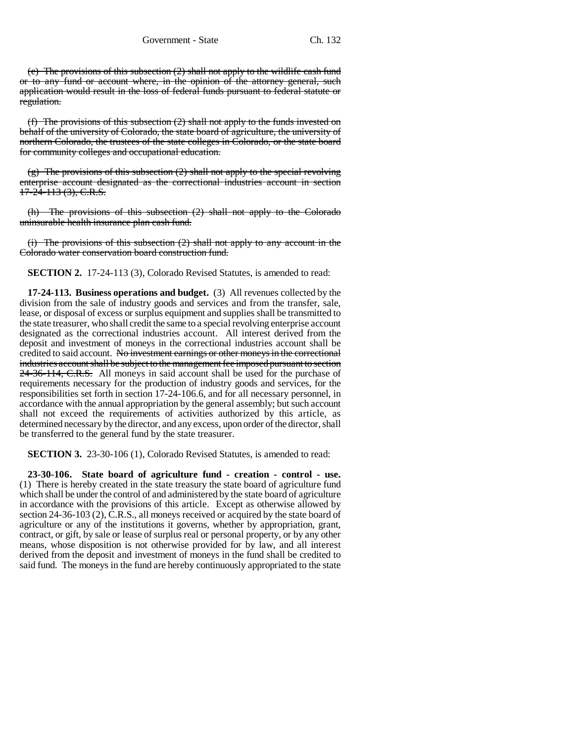(e) The provisions of this subsection (2) shall not apply to the wildlife cash fund or to any fund or account where, in the opinion of the attorney general, such application would result in the loss of federal funds pursuant to federal statute or regulation.

(f) The provisions of this subsection (2) shall not apply to the funds invested on behalf of the university of Colorado, the state board of agriculture, the university of northern Colorado, the trustees of the state colleges in Colorado, or the state board for community colleges and occupational education.

 $(g)$  The provisions of this subsection  $(2)$  shall not apply to the special revolving enterprise account designated as the correctional industries account in section  $17 - 24 - 113$  (3), C.R.S.

(h) The provisions of this subsection (2) shall not apply to the Colorado uninsurable health insurance plan cash fund.

(i) The provisions of this subsection (2) shall not apply to any account in the Colorado water conservation board construction fund.

**SECTION 2.** 17-24-113 (3), Colorado Revised Statutes, is amended to read:

**17-24-113. Business operations and budget.** (3) All revenues collected by the division from the sale of industry goods and services and from the transfer, sale, lease, or disposal of excess or surplus equipment and supplies shall be transmitted to the state treasurer, who shall credit the same to a special revolving enterprise account designated as the correctional industries account. All interest derived from the deposit and investment of moneys in the correctional industries account shall be credited to said account. No investment earnings or other moneys in the correctional industries account shall be subject to the management fee imposed pursuant to section 24-36-114, C.R.S. All moneys in said account shall be used for the purchase of requirements necessary for the production of industry goods and services, for the responsibilities set forth in section 17-24-106.6, and for all necessary personnel, in accordance with the annual appropriation by the general assembly; but such account shall not exceed the requirements of activities authorized by this article, as determined necessary by the director, and any excess, upon order of the director, shall be transferred to the general fund by the state treasurer.

**SECTION 3.** 23-30-106 (1), Colorado Revised Statutes, is amended to read:

**23-30-106. State board of agriculture fund - creation - control - use.** (1) There is hereby created in the state treasury the state board of agriculture fund which shall be under the control of and administered by the state board of agriculture in accordance with the provisions of this article. Except as otherwise allowed by section 24-36-103 (2), C.R.S., all moneys received or acquired by the state board of agriculture or any of the institutions it governs, whether by appropriation, grant, contract, or gift, by sale or lease of surplus real or personal property, or by any other means, whose disposition is not otherwise provided for by law, and all interest derived from the deposit and investment of moneys in the fund shall be credited to said fund. The moneys in the fund are hereby continuously appropriated to the state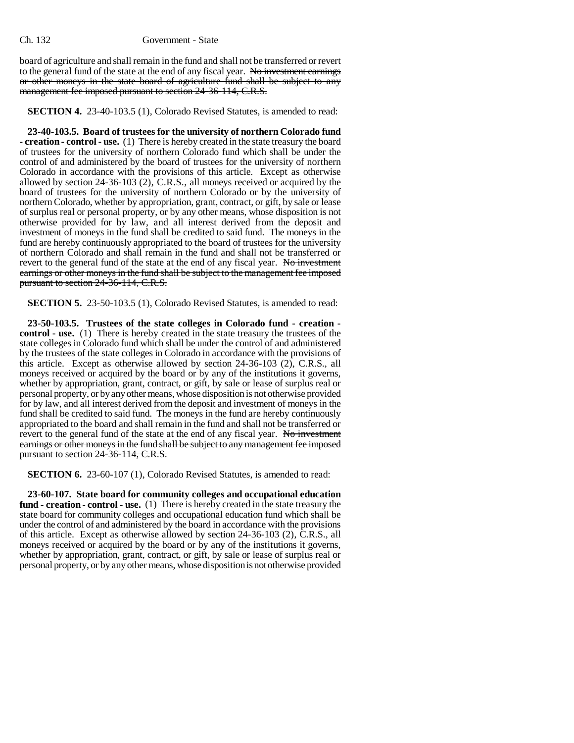board of agriculture and shall remain in the fund and shall not be transferred or revert to the general fund of the state at the end of any fiscal year. No investment earnings or other moneys in the state board of agriculture fund shall be subject to any management fee imposed pursuant to section 24-36-114, C.R.S.

**SECTION 4.** 23-40-103.5 (1), Colorado Revised Statutes, is amended to read:

**23-40-103.5. Board of trustees for the university of northern Colorado fund - creation - control - use.** (1) There is hereby created in the state treasury the board of trustees for the university of northern Colorado fund which shall be under the control of and administered by the board of trustees for the university of northern Colorado in accordance with the provisions of this article. Except as otherwise allowed by section 24-36-103 (2), C.R.S., all moneys received or acquired by the board of trustees for the university of northern Colorado or by the university of northern Colorado, whether by appropriation, grant, contract, or gift, by sale or lease of surplus real or personal property, or by any other means, whose disposition is not otherwise provided for by law, and all interest derived from the deposit and investment of moneys in the fund shall be credited to said fund. The moneys in the fund are hereby continuously appropriated to the board of trustees for the university of northern Colorado and shall remain in the fund and shall not be transferred or revert to the general fund of the state at the end of any fiscal year. No investment earnings or other moneys in the fund shall be subject to the management fee imposed pursuant to section 24-36-114, C.R.S.

**SECTION 5.** 23-50-103.5 (1), Colorado Revised Statutes, is amended to read:

**23-50-103.5. Trustees of the state colleges in Colorado fund - creation control - use.** (1) There is hereby created in the state treasury the trustees of the state colleges in Colorado fund which shall be under the control of and administered by the trustees of the state colleges in Colorado in accordance with the provisions of this article. Except as otherwise allowed by section 24-36-103 (2), C.R.S., all moneys received or acquired by the board or by any of the institutions it governs, whether by appropriation, grant, contract, or gift, by sale or lease of surplus real or personal property, or by any other means, whose disposition is not otherwise provided for by law, and all interest derived from the deposit and investment of moneys in the fund shall be credited to said fund. The moneys in the fund are hereby continuously appropriated to the board and shall remain in the fund and shall not be transferred or revert to the general fund of the state at the end of any fiscal year. No investment earnings or other moneys in the fund shall be subject to any management fee imposed pursuant to section 24-36-114, C.R.S.

**SECTION 6.** 23-60-107 (1), Colorado Revised Statutes, is amended to read:

**23-60-107. State board for community colleges and occupational education fund - creation - control - use.** (1) There is hereby created in the state treasury the state board for community colleges and occupational education fund which shall be under the control of and administered by the board in accordance with the provisions of this article. Except as otherwise allowed by section 24-36-103 (2), C.R.S., all moneys received or acquired by the board or by any of the institutions it governs, whether by appropriation, grant, contract, or gift, by sale or lease of surplus real or personal property, or by any other means, whose disposition is not otherwise provided